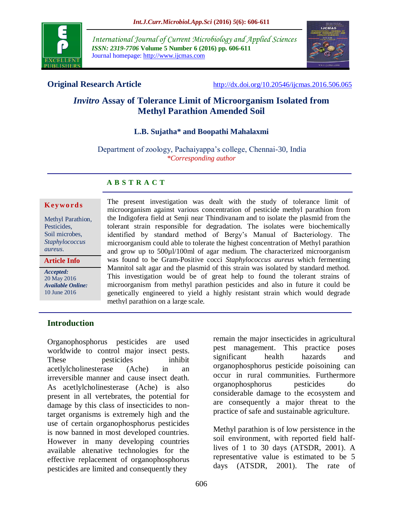

*International Journal of Current Microbiology and Applied Sciences ISSN: 2319-7706* **Volume 5 Number 6 (2016) pp. 606-611** Journal homepage: http://www.ijcmas.com



**Original Research Article** <http://dx.doi.org/10.20546/ijcmas.2016.506.065>

# *Invitro* **Assay of Tolerance Limit of Microorganism Isolated from Methyl Parathion Amended Soil**

## **L.B. Sujatha\* and Boopathi Mahalaxmi**

Department of zoology, Pachaiyappa's college, Chennai-30, India *\*Corresponding author*

#### **A B S T R A C T**

#### **K ey w o rd s**

Methyl Parathion, Pesticides, Soil microbes, *Staphylococcus aureus*.

#### **Article Info**

*Accepted:*  20 May 2016 *Available Online:* 10 June 2016

The present investigation was dealt with the study of tolerance limit of microorganism against various concentration of pesticide methyl parathion from the Indigofera field at Senji near Thindivanam and to isolate the plasmid from the tolerant strain responsible for degradation. The isolates were biochemically identified by standard method of Bergy's Manual of Bacteriology. The microorganism could able to tolerate the highest concentration of Methyl parathion and grow up to 500µl/100ml of agar medium. The characterized microorganism was found to be Gram-Positive cocci *Staphylococcus aureus* which fermenting Mannitol salt agar and the plasmid of this strain was isolated by standard method. This investigation would be of great help to found the tolerant strains of microorganism from methyl parathion pesticides and also in future it could be genetically engineered to yield a highly resistant strain which would degrade methyl parathion on a large scale.

## **Introduction**

Organophosphorus pesticides are used worldwide to control major insect pests. These pesticides inhibit acetlylcholinesterase (Ache) in an irreversible manner and cause insect death. As acetlylcholinesterase (Ache) is also present in all vertebrates, the potential for damage by this class of insecticides to nontarget organisms is extremely high and the use of certain organophosphorus pesticides is now banned in most developed countries. However in many developing countries available altenative technologies for the effective replacement of organophosphorus pesticides are limited and consequently they

remain the major insecticides in agricultural pest management. This practice poses significant health hazards and organophosphorus pesticide poisoining can occur in rural communities. Furthermore organophosphorus pesticides do considerable damage to the ecosystem and are consequently a major threat to the practice of safe and sustainable agriculture.

Methyl parathion is of low persistence in the soil environment, with reported field halflives of 1 to 30 days (ATSDR, 2001). A representative value is estimated to be 5 days (ATSDR, 2001). The rate of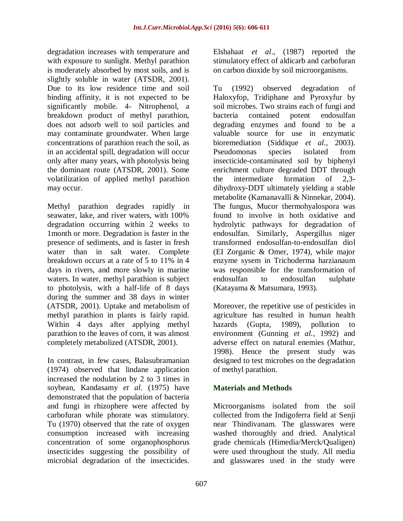degradation increases with temperature and with exposure to sunlight. Methyl parathion is moderately absorbed by most soils, and is slightly soluble in water (ATSDR, 2001). Due to its low residence time and soil binding affinity, it is not expected to be significantly mobile. 4- Nitrophenol, a breakdown product of methyl parathion, does not adsorb well to soil particles and may contaminate groundwater. When large concentrations of parathion reach the soil, as in an accidental spill, degradation will occur only after many years, with photolysis being the dominant route (ATSDR, 2001). Some volatilization of applied methyl parathion may occur.

Methyl parathion degrades rapidly in seawater, lake, and river waters, with 100% degradation occurring within 2 weeks to 1month or more. Degradation is faster in the presence of sediments, and is faster in fresh water than in salt water. Complete breakdown occurs at a rate of 5 to 11% in 4 days in rivers, and more slowly in marine waters. In water, methyl parathion is subject to photolysis, with a half-life of 8 days during the summer and 38 days in winter (ATSDR, 2001). Uptake and metabolism of methyl parathion in plants is fairly rapid. Within 4 days after applying methyl parathion to the leaves of corn, it was almost completely metabolized (ATSDR, 2001).

In contrast, in few cases, Balasubramanian (1974) observed that lindane application increased the nodulation by 2 to 3 times in soybean, Kandasamy *et al*. (1975) have demonstrated that the population of bacteria and fungi in rhizophere were affected by carbofuran while phorate was stimulatory. Tu (1970) observed that the rate of oxygen consumption increased with increasing concentration of some organophosphorus insecticides suggesting the possibility of microbial degradation of the insecticides.

Elshahaat *et al*., (1987) reported the stimulatory effect of aldicarb and carbofuran on carbon dioxide by soil microorganisms.

Tu (1992) observed degradation of Haloxyfop, Tridiphane and Pyroxyfur by soil microbes. Two strains each of fungi and bacteria contained potent endosulfan degrading enzymes and found to be a valuable source for use in enzymatic bioremediation (Siddique *et al.,* 2003). Pseudomonas species isolated from insecticide-contaminated soil by biphenyl enrichment culture degraded DDT through the intermediate formation of 2,3 dihydroxy-DDT ultimately yielding a stable metabolite (Kamanavalli & Ninnekar, 2004). The fungus, Mucor thermohyalospora was found to involve in both oxidative and hydrolytic pathways for degradation of endosulfan. Similarly, Aspergillus niger transformed endosulfan-to-endosulfan diol (EI Zorganic & Omer, 1974), while major enzyme sysem in Trichoderma harzianaum was responsible for the transformation of endosulfan to endosulfan sulphate (Katayama & Matsumara, 1993).

Moreover, the repetitive use of pesticides in agriculture has resulted in human health hazards (Gupta, 1989), pollution to environment (Gunning *et al.,* 1992) and adverse effect on natural enemies (Mathur, 1998). Hence the present study was designed to test microbes on the degradation of methyl parathion.

## **Materials and Methods**

Microorganisms isolated from the soil collected from the Indigoferra field at Senji near Thindivanam. The glasswares were washed thoroughly and dried. Analytical grade chemicals (Himedia/Merck/Qualigen) were used throughout the study. All media and glasswares used in the study were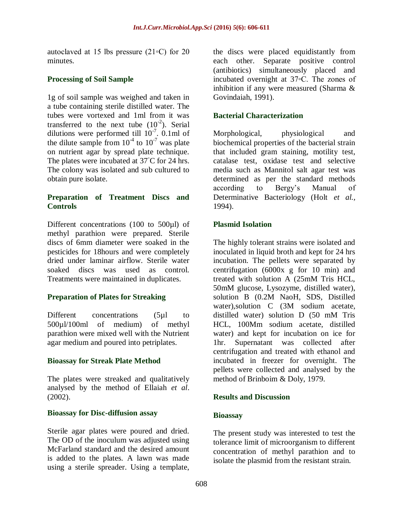autoclaved at 15 lbs pressure (21◦C) for 20 minutes.

## **Processing of Soil Sample**

1g of soil sample was weighed and taken in a tube containing sterile distilled water. The tubes were vortexed and 1ml from it was transferred to the next tube  $(10^{-2})$ . Serial dilutions were performed till  $10^{-7}$ . 0.1ml of the dilute sample from  $10^{-4}$  to  $10^{-7}$  was plate on nutrient agar by spread plate technique. The plates were incubated at 37◦C for 24 hrs. The colony was isolated and sub cultured to obtain pure isolate.

## **Preparation of Treatment Discs and Controls**

Different concentrations (100 to 500µl) of methyl parathion were prepared. Sterile discs of 6mm diameter were soaked in the pesticides for 18hours and were completely dried under laminar airflow. Sterile water soaked discs was used as control. Treatments were maintained in duplicates.

## **Preparation of Plates for Streaking**

Different concentrations (5µl to 500µl/100ml of medium) of methyl parathion were mixed well with the Nutrient agar medium and poured into petriplates.

## **Bioassay for Streak Plate Method**

The plates were streaked and qualitatively analysed by the method of Ellaiah *et al*. (2002).

## **Bioassay for Disc-diffusion assay**

Sterile agar plates were poured and dried. The OD of the inoculum was adjusted using McFarland standard and the desired amount is added to the plates. A lawn was made using a sterile spreader. Using a template,

the discs were placed equidistantly from each other. Separate positive control (antibiotics) simultaneously placed and incubated overnight at 37◦C. The zones of inhibition if any were measured (Sharma & Govindaiah, 1991).

## **Bacterial Characterization**

Morphological, physiological and biochemical properties of the bacterial strain that included gram staining, motility test, catalase test, oxidase test and selective media such as Mannitol salt agar test was determined as per the standard methods according to Bergy's Manual of Determinative Bacteriology (Holt *et al.,*  1994).

# **Plasmid Isolation**

The highly tolerant strains were isolated and inoculated in liquid broth and kept for 24 hrs incubation. The pellets were separated by centrifugation (6000x g for 10 min) and treated with solution A (25mM Tris HCL, 50mM glucose, Lysozyme, distilled water), solution B (0.2M NaoH, SDS, Distilled water), solution C (3M sodium acetate, distilled water) solution D (50 mM Tris HCL, 100Mm sodium acetate, distilled water) and kept for incubation on ice for 1hr. Supernatant was collected after centrifugation and treated with ethanol and incubated in freezer for overnight. The pellets were collected and analysed by the method of Brinboim & Doly, 1979.

## **Results and Discussion**

## **Bioassay**

The present study was interested to test the tolerance limit of microorganism to different concentration of methyl parathion and to isolate the plasmid from the resistant strain.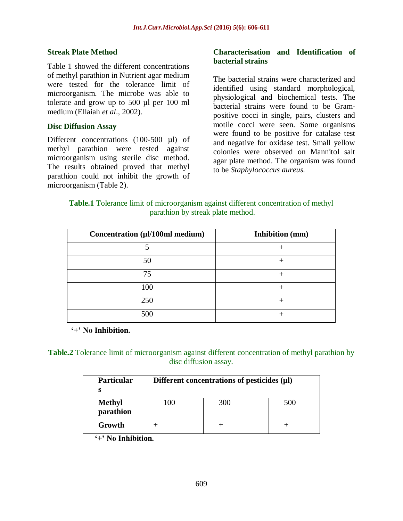#### **Streak Plate Method**

Table 1 showed the different concentrations of methyl parathion in Nutrient agar medium were tested for the tolerance limit of microorganism. The microbe was able to tolerate and grow up to 500 µl per 100 ml medium (Ellaiah *et al*., 2002).

#### **Disc Diffusion Assay**

Different concentrations (100-500 µl) of methyl parathion were tested against microorganism using sterile disc method. The results obtained proved that methyl parathion could not inhibit the growth of microorganism (Table 2).

#### **Characterisation and Identification of bacterial strains**

The bacterial strains were characterized and identified using standard morphological, physiological and biochemical tests. The bacterial strains were found to be Grampositive cocci in single, pairs, clusters and motile cocci were seen. Some organisms were found to be positive for catalase test and negative for oxidase test. Small yellow colonies were observed on Mannitol salt agar plate method. The organism was found to be *Staphylococcus aureus.*

## **Table.1** Tolerance limit of microorganism against different concentration of methyl parathion by streak plate method.

| Concentration (µl/100ml medium) | <b>Inhibition</b> (mm) |
|---------------------------------|------------------------|
|                                 |                        |
| 50                              |                        |
| 75                              |                        |
| 100                             |                        |
| 250                             |                        |
| 500                             |                        |

**'+' No Inhibition.**

## **Table.2** Tolerance limit of microorganism against different concentration of methyl parathion by disc diffusion assay.

| <b>Particular</b>          | Different concentrations of pesticides $(\mu I)$ |     |     |
|----------------------------|--------------------------------------------------|-----|-----|
| <b>Methyl</b><br>parathion | 100                                              | 300 | 500 |
| Growth                     |                                                  |     |     |

**'+' No Inhibition.**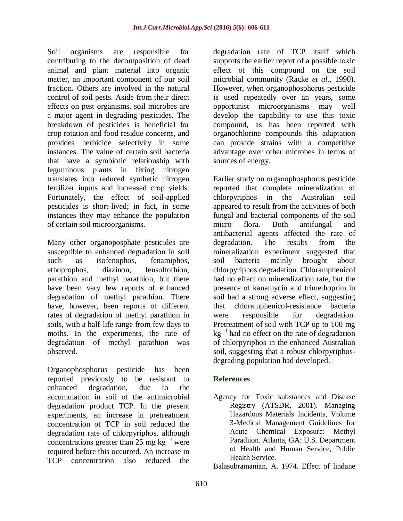Soil organisms are responsible for contributing to the decomposition of dead animal and plant material into organic matter, an important component of our soil fraction. Others are involved in the natural control of soil pests. Aside from their direct effects on pest organisms, soil microbes are a major agent in degrading pesticides. The breakdown of pesticides is beneficial for crop rotation and food residue concerns, and provides herbicide selectivity in some instances. The value of certain soil bacteria that have a symbiotic relationship with leguminous plants in fixing nitrogen translates into reduced synthetic nitrogen fertilizer inputs and increased crop yields. Fortunately, the effect of soil-applied pesticides is short-lived; in fact, in some instances they may enhance the population of certain soil microorganisms.

Many other organoposphate pesticides are susceptible to enhanced degradation in soil such as isofenophos, fenamiphos, ethoprophos, diazinon, fensulfothion, parathion and methyl parathion, but there have been very few reports of enhanced degradation of methyl parathion. There have, however, been reports of different rates of degradation of methyl parathion in soils, with a half-life range from few days to moths. In the experiments, the rate of degradation of methyl parathion was observed.

Organophosphorus pesticide has been reported previously to be resistant to enhanced degradation, due to the accumulation in soil of the antimicrobial degradation product TCP. In the present experiments, an increase in pretreatment concentration of TCP in soil reduced the degradation rate of chlorpyriphos, although concentrations greater than  $25 \text{ mg}$  kg<sup>-1</sup> were required before this occurred. An increase in TCP concentration also reduced the

degradation rate of TCP itself which supports the earlier report of a possible toxic effect of this compound on the soil microbial community (Racke *et al.,* 1990). However, when organophosphorus pesticide is used repeatedly over an years, some opportunist microorganisms may well develop the capability to use this toxic compound, as has been reported with organochlorine compounds this adaptation can provide strains with a competitive advantage over other microbes in terms of sources of energy.

Earlier study on organophosphorus pesticide reported that complete mineralization of chlorpyriphos in the Australian soil appeared to result from the activities of both fungal and bacterial components of the soil micro flora. Both antifungal and antibacterial agents affected the rate of degradation. The results from the mineralization experiment suggested that soil bacteria mainly brought about chlorpyriphos degradation. Chloramphenicol had no effect on mineralization rate, but the presence of kanamycin and trimethoprim in soil had a strong adverse effect, suggesting that chloramphenicol-resistance bacteria were responsible for degradation. Pretreatment of soil with TCP up to 100 mg  $kg^{-1}$  had no effect on the rate of degradation of chlorpyriphos in the enhanced Australian soil, suggesting that a robust chlorpyriphosdegrading population had developed.

## **References**

Agency for Toxic substances and Disease Registry (ATSDR, 2001). Managing Hazardous Materials Incidents, Volume 3-Medical Management Guidelines for Acute Chemical Exposure: Methyl Parathion. Atlanta, GA: U.S. Department of Health and Human Service, Public Health Service.

Balasubramanian, A. 1974. Effect of lindane